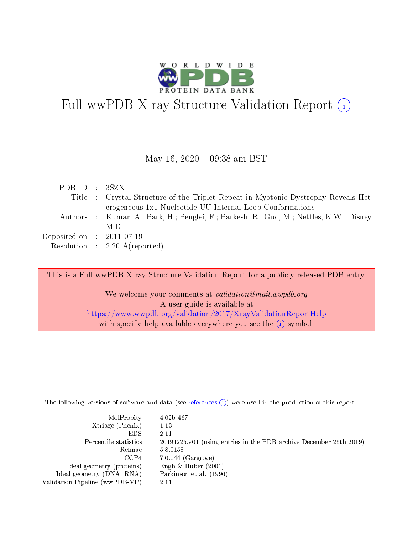

# Full wwPDB X-ray Structure Validation Report  $(i)$

#### May 16,  $2020 - 09:38$  am BST

| PDB ID : 3SZX               |                                                                                          |
|-----------------------------|------------------------------------------------------------------------------------------|
|                             | Title : Crystal Structure of the Triplet Repeat in Myotonic Dystrophy Reveals Het-       |
|                             | erogeneous 1x1 Nucleotide UU Internal Loop Conformations                                 |
|                             | Authors : Kumar, A.; Park, H.; Pengfei, F.; Parkesh, R.; Guo, M.; Nettles, K.W.; Disney, |
|                             | M.D.                                                                                     |
| Deposited on : $2011-07-19$ |                                                                                          |
|                             | Resolution : $2.20 \text{ Å}$ (reported)                                                 |

This is a Full wwPDB X-ray Structure Validation Report for a publicly released PDB entry.

We welcome your comments at *validation@mail.wwpdb.org* A user guide is available at <https://www.wwpdb.org/validation/2017/XrayValidationReportHelp> with specific help available everywhere you see the  $(i)$  symbol.

The following versions of software and data (see [references](https://www.wwpdb.org/validation/2017/XrayValidationReportHelp#references)  $(i)$ ) were used in the production of this report:

| $MolProbability$ 4.02b-467<br>Xtriage (Phenix) $: 1.13$ |                                                                                                     |
|---------------------------------------------------------|-----------------------------------------------------------------------------------------------------|
| $EDS$ :                                                 | -2.11<br>Percentile statistics : 20191225.v01 (using entries in the PDB archive December 25th 2019) |
|                                                         | Refmac : 5.8.0158                                                                                   |
|                                                         | $CCP4$ : 7.0.044 (Gargrove)                                                                         |
| Ideal geometry (proteins) : Engh $\&$ Huber (2001)      |                                                                                                     |
| Ideal geometry (DNA, RNA) : Parkinson et al. (1996)     |                                                                                                     |
| Validation Pipeline (wwPDB-VP) :                        | -2.11                                                                                               |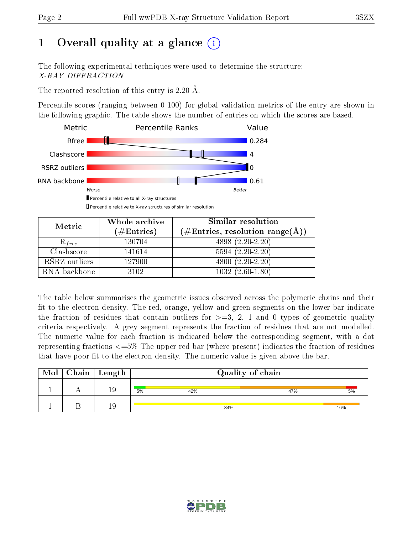# 1 [O](https://www.wwpdb.org/validation/2017/XrayValidationReportHelp#overall_quality)verall quality at a glance  $(i)$

The following experimental techniques were used to determine the structure: X-RAY DIFFRACTION

The reported resolution of this entry is 2.20 Å.

Percentile scores (ranging between 0-100) for global validation metrics of the entry are shown in the following graphic. The table shows the number of entries on which the scores are based.



Metric Whole archive  $(\#\text{Entries})$ Similar resolution  $(\#\text{Entries}, \, \text{resolution range}(\text{A}))$  $R_{free}$  130704  $4898 (2.20-2.20)$ Clashscore | 141614 5594 (2.20-2.20) RSRZ outliers | 127900 1200 4800 (2.20-2.20) RNA backbone | 3102 | 1032 (2.60-1.80)

The table below summarises the geometric issues observed across the polymeric chains and their fit to the electron density. The red, orange, yellow and green segments on the lower bar indicate the fraction of residues that contain outliers for  $\geq=3$ , 2, 1 and 0 types of geometric quality criteria respectively. A grey segment represents the fraction of residues that are not modelled. The numeric value for each fraction is indicated below the corresponding segment, with a dot representing fractions  $\epsilon = 5\%$  The upper red bar (where present) indicates the fraction of residues that have poor fit to the electron density. The numeric value is given above the bar.

|  | $\text{Mol} \mid \text{Chain} \mid \text{Length}$ | Quality of chain |     |     |  |  |  |  |
|--|---------------------------------------------------|------------------|-----|-----|--|--|--|--|
|  | 19                                                | 5%<br>42%        | 47% | 5%  |  |  |  |  |
|  | 19                                                | 84%              |     | 16% |  |  |  |  |

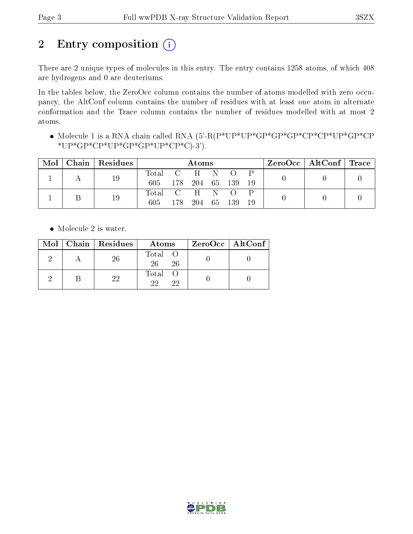# 2 Entry composition (i)

There are 2 unique types of molecules in this entry. The entry contains 1258 atoms, of which 408 are hydrogens and 0 are deuteriums.

In the tables below, the ZeroOcc column contains the number of atoms modelled with zero occupancy, the AltConf column contains the number of residues with at least one atom in alternate conformation and the Trace column contains the number of residues modelled with at most 2 atoms.

 Molecule 1 is a RNA chain called RNA (5'-R(P\*UP\*UP\*GP\*GP\*GP\*CP\*CP\*UP\*GP\*CP  $*UP*GP*CP*UP*GP*GP*UP*CP*CP*CP*C$ )-3').

| Mol | $\mid$ Chain $\mid$ Residues | Atoms                |     |                |      |     | ZeroOcc   AltConf   Trace |  |  |
|-----|------------------------------|----------------------|-----|----------------|------|-----|---------------------------|--|--|
|     | 19                           | Total C H N O<br>605 |     | 178 204 65 139 |      |     | 19                        |  |  |
|     | 19                           | Total C H N O<br>605 | 178 | 204            | - 65 | 139 | 19                        |  |  |

• Molecule 2 is water.

|  | $Mol$   Chain   Residues | Atoms               | $ZeroOcc \   \ AltConf \  $ |
|--|--------------------------|---------------------|-----------------------------|
|  | -26                      | Total O<br>26<br>26 |                             |
|  | 99                       | Total<br>99<br>22   |                             |

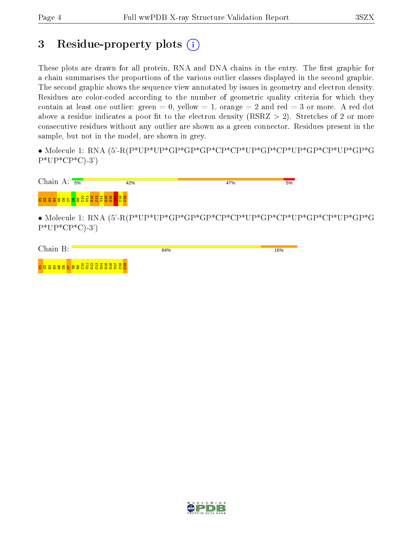## 3 Residue-property plots  $(i)$

These plots are drawn for all protein, RNA and DNA chains in the entry. The first graphic for a chain summarises the proportions of the various outlier classes displayed in the second graphic. The second graphic shows the sequence view annotated by issues in geometry and electron density. Residues are color-coded according to the number of geometric quality criteria for which they contain at least one outlier: green  $= 0$ , yellow  $= 1$ , orange  $= 2$  and red  $= 3$  or more. A red dot above a residue indicates a poor fit to the electron density (RSRZ  $> 2$ ). Stretches of 2 or more consecutive residues without any outlier are shown as a green connector. Residues present in the sample, but not in the model, are shown in grey.

• Molecule 1: RNA (5'-R(P\*UP\*UP\*GP\*GP\*GP\*CP\*CP\*UP\*GP\*CP\*UP\*GP\*CP\*UP\*GP\*G  $P*UP*CP*C-3'$ 

|                              | Chain A: $\frac{1}{5\%}$ | 42% | 47% | 5% |
|------------------------------|--------------------------|-----|-----|----|
| <b>588886888888888888888</b> |                          |     |     |    |

• Molecule 1: RNA (5'-R(P\*UP\*UP\*GP\*GP\*GP\*CP\*CP\*UP\*GP\*CP\*UP\*GP\*CP\*UP\*GP\*G  $P^*UP^*CP^*C$ -3')

| Chain<br>$\mathbf{R} \cdot$ | 84% | 16% |
|-----------------------------|-----|-----|
| 588388688888888888888       |     |     |

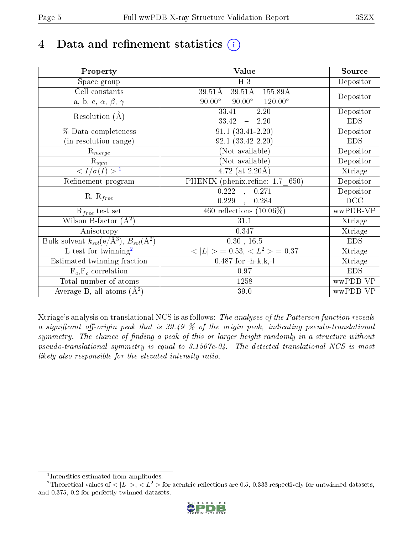# 4 Data and refinement statistics  $(i)$

| Property                                                             | Value                                             | Source     |
|----------------------------------------------------------------------|---------------------------------------------------|------------|
| Space group                                                          | $H_3$                                             | Depositor  |
| Cell constants                                                       | $39.51\text{\AA}$<br>$39.51\text{\AA}$<br>155.89Å |            |
| a, b, c, $\alpha$ , $\beta$ , $\gamma$                               | $90.00^\circ$<br>$120.00^\circ$<br>$90.00^\circ$  | Depositor  |
| Resolution $(A)$                                                     | 33.41<br>2.20<br>$\frac{1}{2}$                    | Depositor  |
|                                                                      | 33.42<br>$-2.20$                                  | <b>EDS</b> |
| % Data completeness                                                  | $91.1(33.41-2.20)$                                | Depositor  |
| (in resolution range)                                                | $92.1(33.42-2.20)$                                | <b>EDS</b> |
| $R_{merge}$                                                          | (Not available)                                   | Depositor  |
| $\mathrm{R}_{sym}$                                                   | (Not available)                                   | Depositor  |
| $\sqrt{I/\sigma}(I) > 1$                                             | $\overline{4.72}$ (at 2.20 Å)                     | Xtriage    |
| Refinement program                                                   | PHENIX (phenix.refine: 1.7 650)                   | Depositor  |
|                                                                      | $\overline{0.222}$ ,<br>0.271                     | Depositor  |
| $R, R_{free}$                                                        | 0.229<br>0.284                                    | DCC        |
| $R_{free}$ test set                                                  | 460 reflections $(10.06\%)$                       | wwPDB-VP   |
| Wilson B-factor $(A^2)$                                              | 31.1                                              | Xtriage    |
| Anisotropy                                                           | 0.347                                             | Xtriage    |
| Bulk solvent $k_{sol}(e/\mathring{A}^3)$ , $B_{sol}(\mathring{A}^2)$ | $0.30$ , 16.5                                     | <b>EDS</b> |
| L-test for twinning <sup>2</sup>                                     | $< L >$ = 0.53, $< L2$ > = 0.37                   | Xtriage    |
| Estimated twinning fraction                                          | $0.487$ for $-h-k,k,-1$                           | Xtriage    |
| $F_o, F_c$ correlation                                               | 0.97                                              | <b>EDS</b> |
| Total number of atoms                                                | 1258                                              | wwPDB-VP   |
| Average B, all atoms $(A^2)$                                         | 39.0                                              | wwPDB-VP   |

Xtriage's analysis on translational NCS is as follows: The analyses of the Patterson function reveals a significant off-origin peak that is  $39.49\%$  of the origin peak, indicating pseudo-translational symmetry. The chance of finding a peak of this or larger height randomly in a structure without pseudo-translational symmetry is equal to 3.1507e-04. The detected translational NCS is most likely also responsible for the elevated intensity ratio.

<sup>&</sup>lt;sup>2</sup>Theoretical values of  $\langle |L| \rangle$ ,  $\langle L^2 \rangle$  for acentric reflections are 0.5, 0.333 respectively for untwinned datasets, and 0.375, 0.2 for perfectly twinned datasets.



<span id="page-4-1"></span><span id="page-4-0"></span><sup>1</sup> Intensities estimated from amplitudes.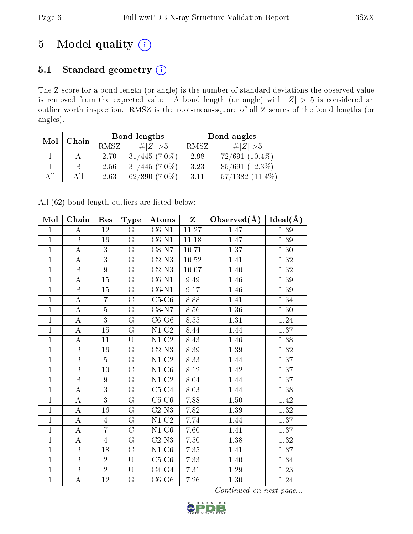# 5 Model quality  $(i)$

### 5.1 Standard geometry (i)

The Z score for a bond length (or angle) is the number of standard deviations the observed value is removed from the expected value. A bond length (or angle) with  $|Z| > 5$  is considered an outlier worth inspection. RMSZ is the root-mean-square of all Z scores of the bond lengths (or angles).

| Mol | Chain |      | Bond lengths    | Bond angles |                       |  |
|-----|-------|------|-----------------|-------------|-----------------------|--|
|     |       | RMSZ | # $ Z  > 5$     | RMSZ        | # $ Z  > 5$           |  |
|     |       | 2.70 | $31/445(7.0\%)$ | 2.98        | $72/691(10.4\%)$      |  |
|     | В     | 2.56 | $31/445(7.0\%)$ | 3.23        | $85/691$ (12.3%)      |  |
| AH  | АH    | 2.63 | $62/890(7.0\%)$ | 3.11        | $157/1382$ $(11.4\%)$ |  |

All (62) bond length outliers are listed below:

| Mol            | Chain                   | Res            | <b>Type</b>             | Atoms                     | Z     | Observed $(\AA)$ | $Ideal(\AA)$ |
|----------------|-------------------------|----------------|-------------------------|---------------------------|-------|------------------|--------------|
| $\mathbf{1}$   | $\bf{A}$                | 12             | $\mathbf G$             | $C6-N1$                   | 11.27 | 1.47             | $1.39\,$     |
| $\overline{1}$ | $\overline{B}$          | 16             | $\mathbf G$             | $C6-N1$                   | 11.18 | 1.47             | 1.39         |
| $\overline{1}$ | $\bf{A}$                | 3              | $\mathbf G$             | $C8-N7$                   | 10.71 | 1.37             | 1.30         |
| $\overline{1}$ | $\overline{\rm A}$      | $\overline{3}$ | $\overline{\mathrm{G}}$ | $\overline{C2-N3}$        | 10.52 | 1.41             | 1.32         |
| $\mathbf{1}$   | $\boldsymbol{B}$        | 9              | $\mathbf G$             | $C2-N3$                   | 10.07 | 1.40             | 1.32         |
| $\mathbf{1}$   | A                       | 15             | G                       | $C6-N1$                   | 9.49  | 1.46             | 1.39         |
| $\mathbf{1}$   | $\, {\bf B}$            | 15             | $\overline{G}$          | $\overline{\text{C6-N1}}$ | 9.17  | 1.46             | 1.39         |
| $\mathbf{1}$   | $\boldsymbol{A}$        | $\overline{7}$ | $\overline{\rm C}$      | $C5-C6$                   | 8.88  | 1.41             | 1.34         |
| $\mathbf{1}$   | $\boldsymbol{A}$        | $\overline{5}$ | $\mathbf G$             | $C8-N7$                   | 8.56  | 1.36             | 1.30         |
| $\mathbf 1$    | $\boldsymbol{A}$        | 3              | $\mathbf G$             | $C6-06$                   | 8.55  | 1.31             | 1.24         |
| $\mathbf{1}$   | $\boldsymbol{A}$        | 15             | $\overline{\mathrm{G}}$ | $\overline{\text{N1-C2}}$ | 8.44  | 1.44             | 1.37         |
| $\mathbf{1}$   | $\overline{A}$          | 11             | U                       | $N1-C2$                   | 8.43  | 1.46             | 1.38         |
| $\mathbf{1}$   | $\boldsymbol{B}$        | 16             | G                       | $\overline{C2-N3}$        | 8.39  | 1.39             | 1.32         |
| $\mathbf{1}$   | $\overline{B}$          | $\overline{5}$ | G                       | $N1-C2$                   | 8.33  | 1.44             | 1.37         |
| $\mathbf{1}$   | B                       | 10             | $\overline{\rm C}$      | $\overline{\text{N1-C6}}$ | 8.12  | 1.42             | 1.37         |
| $\mathbf{1}$   | B                       | 9              | G                       | $N1-C2$                   | 8.04  | 1.44             | 1.37         |
| $\mathbf 1$    | $\boldsymbol{A}$        | 3              | G                       | $C5-C4$                   | 8.03  | 1.44             | 1.38         |
| $\mathbf 1$    | $\boldsymbol{A}$        | $\overline{3}$ | $\overline{\mathrm{G}}$ | $C5-C6$                   | 7.88  | 1.50             | 1.42         |
| $\mathbf{1}$   | $\boldsymbol{A}$        | 16             | $\overline{G}$          | $C2-N3$                   | 7.82  | 1.39             | 1.32         |
| $\overline{1}$ | $\boldsymbol{A}$        | $\overline{4}$ | G                       | $N1-C2$                   | 7.74  | 1.44             | 1.37         |
| $\mathbf{1}$   | $\boldsymbol{A}$        | $\overline{7}$ | $\overline{\rm C}$      | $N1-C6$                   | 7.60  | 1.41             | 1.37         |
| $\mathbf 1$    | $\bf{A}$                | $\overline{4}$ | G                       | $C2-N3$                   | 7.50  | 1.38             | 1.32         |
| $\overline{1}$ | $\overline{\mathrm{B}}$ | 18             | $\overline{\rm C}$      | $\overline{\text{N1-C6}}$ | 7.35  | 1.41             | 1.37         |
| $\mathbf{1}$   | $\boldsymbol{B}$        | $\overline{2}$ | U                       | $C5-C6$                   | 7.33  | 1.40             | 1.34         |
| $\mathbf{1}$   | B                       | $\overline{2}$ | U                       | $C4-O4$                   | 7.31  | 1.29             | 1.23         |
| $\mathbf 1$    | $\boldsymbol{A}$        | 12             | $\overline{\mathrm{G}}$ | $\overline{C}$ 6-O6       | 7.26  | 1.30             | 1.24         |

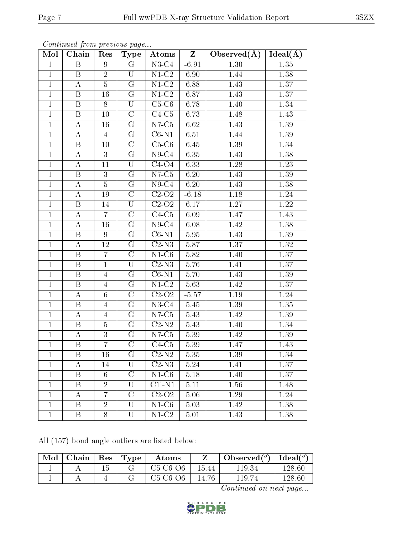| Mol            | Chain                   | Res             | <b>Type</b>             | Atoms                            | $\mathbf{Z}$ | Observed $(A)$    | Ideal $(A)$       |
|----------------|-------------------------|-----------------|-------------------------|----------------------------------|--------------|-------------------|-------------------|
| $\mathbf{1}$   | B                       | 9               | $\mathbf G$             | $N3-C4$                          | $-6.91$      | $\overline{1.30}$ | 1.35              |
| $\mathbf{1}$   | $\boldsymbol{B}$        | $\overline{2}$  | U                       | $N1-C2$                          | 6.90         | 1.44              | 1.38              |
| $\mathbf{1}$   | $\boldsymbol{A}$        | $\overline{5}$  | $\overline{G}$          | $\overline{\text{N1-C2}}$        | 6.88         | 1.43              | 1.37              |
| $\mathbf{1}$   | B                       | 16              | G                       | $N1-C2$                          | 6.87         | 1.43              | 1.37              |
| $\mathbf 1$    | $\, {\bf B}$            | 8               | $\mathbf U$             | $C5-C6$                          | 6.78         | 1.40              | 1.34              |
| $\mathbf{1}$   | $\boldsymbol{B}$        | 10              | $\overline{C}$          | $C4-C5$                          | 6.73         | 1.48              | 1.43              |
| $\mathbf{1}$   | $\boldsymbol{A}$        | 16              | G                       | $N7-C5$                          | 6.62         | 1.43              | 1.39              |
| $\mathbf{1}$   | $\boldsymbol{A}$        | $\overline{4}$  | $G\,$                   | $\overline{\text{C}6\text{-N1}}$ | 6.51         | 1.44              | 1.39              |
| $\mathbf{1}$   | $\, {\bf B}$            | 10              | $\mathcal{C}$           | $C5-C6$                          | 6.45         | 1.39              | 1.34              |
| $\mathbf{1}$   | $\bf{A}$                | 3               | G                       | $N9-C4$                          | 6.35         | 1.43              | 1.38              |
| $\mathbf{1}$   | $\bf{A}$                | 11              | $\overline{\mathrm{U}}$ | $C4-O4$                          | 6.33         | 1.28              | 1.23              |
| $\mathbf{1}$   | B                       | 3               | G                       | $N7-C5$                          | 6.20         | 1.43              | 1.39              |
| $\mathbf{1}$   | $\overline{A}$          | $\overline{5}$  | $\overline{G}$          | $N9-C4$                          | 6.20         | 1.43              | $1.38\,$          |
| $\mathbf{1}$   | $\bf{A}$                | 19              | $\mathcal{C}$           | $\overline{C2}$ -O <sub>2</sub>  | $-6.18$      | 1.18              | 1.24              |
| $\mathbf{1}$   | $\overline{\mathrm{B}}$ | 14              | $\overline{\mathrm{U}}$ | $C2-O2$                          | 6.17         | 1.27              | $\overline{1.22}$ |
| $\mathbf{1}$   | A                       | $\overline{7}$  | $\overline{C}$          | $C4-C5$                          | 6.09         | 1.47              | 1.43              |
| $\mathbf{1}$   | $\bf{A}$                | 16              | G                       | $N9-C4$                          | 6.08         | 1.42              | 1.38              |
| $\mathbf{1}$   | $\boldsymbol{B}$        | 9               | G                       | $C6-N1$                          | 5.95         | 1.43              | 1.39              |
| $\mathbf{1}$   | $\bf{A}$                | 12              | G                       | $\overline{\text{C2-N3}}$        | 5.87         | 1.37              | 1.32              |
| $\mathbf{1}$   | $\, {\bf B}$            | $\overline{7}$  | $\overline{\rm C}$      | $N1-C6$                          | 5.82         | 1.40              | 1.37              |
| $\mathbf{1}$   | B                       | $\mathbf{1}$    | U                       | $C2-N3$                          | 5.76         | 1.41              | 1.37              |
| $\mathbf{1}$   | $\, {\bf B}$            | $\overline{4}$  | G                       | $C6-N1$                          | 5.70         | 1.43              | 1.39              |
| $\mathbf{1}$   | $\boldsymbol{B}$        | $\overline{4}$  | G                       | $N1-C2$                          | 5.63         | 1.42              | 1.37              |
| $\mathbf{1}$   | $\boldsymbol{A}$        | $6\phantom{.}6$ | $\mathcal{C}$           | $\overline{C2}$ -O <sub>2</sub>  | $-5.57$      | 1.19              | 1.24              |
| $\mathbf{1}$   | B                       | $\overline{4}$  | G                       | $N3-C4$                          | 5.45         | 1.39              | 1.35              |
| $\mathbf{1}$   | $\bf{A}$                | $\overline{4}$  | G                       | $N7-C5$                          | 5.43         | 1.42              | 1.39              |
| $\overline{1}$ | $\boldsymbol{B}$        | $\overline{5}$  | G                       | $C2-N2$                          | 5.43         | 1.40              | 1.34              |
| $\mathbf{1}$   | $\boldsymbol{A}$        | $\mathfrak{Z}$  | ${\bf G}$               | $N7-C5$                          | 5.39         | 1.42              | 1.39              |
| $\mathbf{1}$   | B                       | 7               | $\mathcal{C}$           | $C4-C5$                          | 5.39         | 1.47              | 1.43              |
| $\mathbf{1}$   | B                       | 16              | G                       | $C2-N2$                          | 5.35         | 1.39              | 1.34              |
| $\mathbf{1}$   | А                       | 14              | U                       | $C2-N3$                          | 5.24         | 1.41              | 1.37              |
| $\mathbf{1}$   | $\boldsymbol{B}$        | 6               | $\overline{\rm C}$      | $N1-C6$                          | 5.18         | 1.40              | 1.37              |
| $\mathbf{1}$   | Β                       | $\overline{2}$  | U                       | $C1'$ -N1                        | 5.11         | 1.56              | 1.48              |
| $\mathbf{1}$   | А                       | 7               | $\overline{C}$          | $C2-O2$                          | 5.06         | 1.29              | 1.24              |
| $\mathbf{1}$   | B                       | $\overline{2}$  | U                       | $N1-C6$                          | 5.03         | 1.42              | 1.38              |
| $\mathbf{1}$   | $\mathbf{B}$            | 8               | U                       | $N1-C2$                          | 5.01         | 1.43              | 1.38              |

All (157) bond angle outliers are listed below:

| Mol | Chain   $\text{Res}$   $\text{Type}$ |  | Atoms      |            | Observed( $^{\circ}$ )   Ideal( $^{\circ}$ ) |            |
|-----|--------------------------------------|--|------------|------------|----------------------------------------------|------------|
|     |                                      |  | $C5-C6-O6$ | -15.44     | 119.34                                       | $128.60\,$ |
|     |                                      |  | $C5-C6-O6$ | $ -14.76 $ | 119.74                                       | 128.60     |

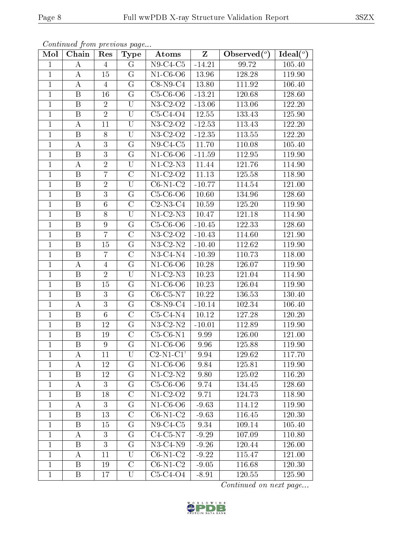| Mol            | Chain                   | Res             | <b>Type</b>             | Atoms                         | $Z_{\parallel}$ | Observed $\binom{o}{0}$ | Ideal $\overline{(\begin{smallmatrix}o\\c\end{smallmatrix})}$ |
|----------------|-------------------------|-----------------|-------------------------|-------------------------------|-----------------|-------------------------|---------------------------------------------------------------|
| $\mathbf 1$    | А                       | $\overline{4}$  | G                       | $\overline{\text{N9-C4-C5}}$  | $-14.21$        | 99.72                   | 105.40                                                        |
| $\mathbf{1}$   | A                       | 15              | G                       | $N1-C6-O6$                    | 13.96           | 128.28                  | 119.90                                                        |
| $\mathbf{1}$   | А                       | $\overline{4}$  | G                       | $C8-N9-C4$                    | 13.80           | 111.92                  | 106.40                                                        |
| $\mathbf{1}$   | B                       | 16              | G                       | $C5-C6-O6$                    | $-13.21$        | 120.68                  | 128.60                                                        |
| $\mathbf{1}$   | $\overline{\mathrm{B}}$ | $\overline{2}$  | $\overline{\mathrm{U}}$ | $N3-C2-O2$                    | $-13.06$        | 113.06                  | 122.20                                                        |
| $\mathbf{1}$   | B                       | $\overline{2}$  | U                       | $C5-C4-O4$                    | 12.55           | 133.43                  | 125.90                                                        |
| $\mathbf{1}$   | $\boldsymbol{A}$        | 11              | U                       | N3-C2-O2                      | $-12.53$        | 113.43                  | 122.20                                                        |
| $\mathbf{1}$   | $\, {\bf B}$            | 8               | U                       | $N3-C2-O2$                    | $-12.35$        | 113.55                  | 122.20                                                        |
| $\mathbf{1}$   | А                       | 3               | $\mathbf G$             | $\overline{\text{N9-C}}$ 4-C5 | 11.70           | 110.08                  | 105.40                                                        |
| $\mathbf 1$    | $\, {\bf B}$            | $\overline{3}$  | $\mathbf G$             | $N1-C6-O6$                    | $-11.59$        | 112.95                  | 119.90                                                        |
| $\mathbf{1}$   | А                       | $\sqrt{2}$      | U                       | $N1-C2-N3$                    | 11.44           | 121.76                  | 114.90                                                        |
| $\mathbf{1}$   | B                       | 7               | $\overline{C}$          | $N1-C2-O2$                    | 11.13           | 125.58                  | 118.90                                                        |
| $\mathbf{1}$   | $\boldsymbol{B}$        | $\overline{2}$  | U                       | $C6-N1-C2$                    | $-10.77$        | 114.54                  | 121.00                                                        |
| $\mathbf{1}$   | B                       | 3               | $\rm G$                 | $C5-C6-O6$                    | 10.60           | 134.96                  | 128.60                                                        |
| $\mathbf{1}$   | $\boldsymbol{B}$        | 6               | $\overline{\rm C}$      | $C2-N3-C4$                    | 10.59           | 125.20                  | 119.90                                                        |
| $\mathbf{1}$   | $\boldsymbol{B}$        | 8               | U                       | $N1-C2-N3$                    | 10.47           | 121.18                  | 114.90                                                        |
| $\mathbf{1}$   | B                       | 9               | $\mathbf G$             | $C5-C6-O6$                    | $-10.45$        | 122.33                  | 128.60                                                        |
| $\mathbf{1}$   | B                       | $\overline{7}$  | $\overline{C}$          | N3-C2-O2                      | $-10.43$        | 114.60                  | 121.90                                                        |
| $\mathbf{1}$   | $\boldsymbol{B}$        | 15              | $\mathbf G$             | $\overline{\text{N3-C2-N2}}$  | $-10.40$        | 112.62                  | 119.90                                                        |
| $\mathbf{1}$   | $\boldsymbol{B}$        | $\overline{7}$  | $\overline{\rm C}$      | $\overline{\text{N3-C4-N4}}$  | $-10.39$        | 110.73                  | 118.00                                                        |
| $\mathbf{1}$   | A                       | $\overline{4}$  | $\mathbf G$             | $N1-C6-O6$                    | 10.28           | 126.07                  | 119.90                                                        |
| $\mathbf{1}$   | $\boldsymbol{B}$        | $\overline{2}$  | U                       | $N1-C2-N3$                    | 10.23           | 121.04                  | 114.90                                                        |
| $\mathbf{1}$   | B                       | 15              | $\mathbf G$             | $N1-C6-O6$                    | 10.23           | 126.04                  | 119.90                                                        |
| $\mathbf{1}$   | $\overline{\mathrm{B}}$ | $\overline{3}$  | $\overline{\mathrm{G}}$ | $C6-C5-N7$                    | 10.22           | 136.53                  | 130.40                                                        |
| $\mathbf{1}$   | А                       | 3               | $\mathbf G$             | $C8-N9-C4$                    | $-10.14$        | 102.34                  | 106.40                                                        |
| $\mathbf{1}$   | $\boldsymbol{B}$        | $6\phantom{.}6$ | $\overline{C}$          | $C5-C4-N4$                    | 10.12           | 127.28                  | 120.20                                                        |
| $\mathbf{1}$   | $\, {\bf B}$            | 12              | $\mathbf G$             | $N3-C2-N2$                    | $-10.01$        | 112.89                  | 119.90                                                        |
| $\mathbf{1}$   | $\boldsymbol{B}$        | 19              | $\overline{\rm C}$      | $C5-C6-N1$                    | 9.99            | 126.00                  | 121.00                                                        |
| $\overline{1}$ | $\boldsymbol{B}$        | $\overline{9}$  | $\overline{\mathrm{G}}$ | $N1-C6-O6$                    | 9.96            | 125.88                  | 119.90                                                        |
| $\mathbf{1}$   | A                       | 11              | U                       | $C2-N1-C1'$                   | 9.94            | 129.62                  | 117.70                                                        |
| 1              | Α                       | 12              | G                       | $N1-C6-O6$                    | 9.84            | 125.81                  | 119.90                                                        |
| $\mathbf{1}$   | $\boldsymbol{B}$        | 12              | $\rm G$                 | $N1-C2-N2$                    | 9.80            | 125.02                  | 116.20                                                        |
| $\mathbf{1}$   | А                       | 3               | G                       | $C5-C6-O6$                    | 9.74            | 134.45                  | 128.60                                                        |
| $\mathbf{1}$   | $\mathbf B$             | 18              | $\overline{\rm C}$      | $\overline{\text{N1-C2-O2}}$  | 9.71            | 124.73                  | 118.90                                                        |
| $\mathbf{1}$   | A                       | 3               | G                       | $N1-C6-O6$                    | $-9.63$         | 114.12                  | 119.90                                                        |
| $\mathbf{1}$   | B                       | 13              | $\rm C$                 | $C6-N1-C2$                    | $-9.63$         | 116.45                  | 120.30                                                        |
| $\mathbf{1}$   | B                       | 15              | G                       | $N9-C4-C5$                    | 9.34            | 109.14                  | 105.40                                                        |
| $\mathbf{1}$   | Α                       | 3               | $G\$                    | $\overline{\text{C4}}$ -C5-N7 | $-9.29$         | 107.09                  | 110.80                                                        |
| $\mathbf{1}$   | $\boldsymbol{B}$        | 3               | G                       | $N3-C4-N9$                    | $-9.26$         | 120.44                  | 126.00                                                        |
| $\mathbf{1}$   | A                       | 11              | U                       | $C6-N1-C2$                    | $-9.22$         | 115.47                  | 121.00                                                        |
| $\mathbf{1}$   | B                       | 19              | $\mathcal{C}$           | $C6-N1-C2$                    | $-9.05$         | 116.68                  | 120.30                                                        |
| $\mathbf{1}$   | B                       | 17              | U                       | $C5-C4-O4$                    | $-8.91$         | 120.55                  | 125.90                                                        |

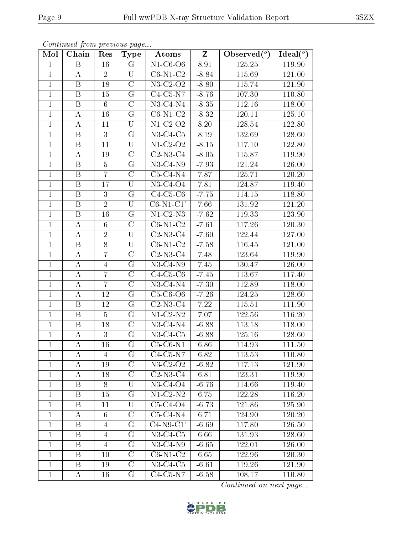| Mol            | Chain                   | Res             | <b>Type</b>        | Atoms                         | $Z_{\parallel}$ | Observed $\overline{(^{\circ})}$ | Ideal $(°)$ |
|----------------|-------------------------|-----------------|--------------------|-------------------------------|-----------------|----------------------------------|-------------|
| $\mathbf{1}$   | B                       | 16              | $\mathbf G$        | $N1-C6-O6$                    | 8.91            | 125.25                           | 119.90      |
| $\mathbf{1}$   | $\boldsymbol{A}$        | 2               | U                  | $C6-N1-C2$                    | $-8.84$         | 115.69                           | 121.00      |
| $\mathbf{1}$   | $\overline{\mathbf{B}}$ | 18              | $\overline{\rm C}$ | $N3-C2-O2$                    | $-8.80$         | 115.74                           | 121.90      |
| $\mathbf{1}$   | $\boldsymbol{B}$        | 15              | $\rm G$            | $C4-C5-N7$                    | $-8.76$         | 107.30                           | 110.80      |
| $\mathbf{1}$   | $\overline{\mathrm{B}}$ | $\,6\,$         | $\overline{\rm C}$ | $N3-C4-N4$                    | $-8.35$         | 112.16                           | 118.00      |
| $\mathbf{1}$   | А                       | 16              | G                  | $C6-N1-C2$                    | $-8.32$         | 120.11                           | 125.10      |
| $\mathbf{1}$   | $\boldsymbol{A}$        | 11              | U                  | $N1-C2-O2$                    | 8.20            | 128.54                           | 122.80      |
| $\mathbf{1}$   | $\, {\bf B}$            | $\sqrt{3}$      | ${\bf G}$          | $N3-C4-C5$                    | 8.19            | 132.69                           | 128.60      |
| $\mathbf{1}$   | $\boldsymbol{B}$        | 11              | U                  | $N1-C2-O2$                    | $-8.15$         | 117.10                           | 122.80      |
| $\mathbf{1}$   | А                       | 19              | $\overline{C}$     | $C2-N3-C4$                    | $-8.05$         | 115.87                           | 119.90      |
| $\mathbf{1}$   | $\boldsymbol{B}$        | $\overline{5}$  | $\overline{G}$     | $N3-C4-N9$                    | $-7.93$         | 121.24                           | 126.00      |
| $\mathbf{1}$   | $\boldsymbol{B}$        | $\overline{7}$  | $\overline{\rm C}$ | $C5-C4-N4$                    | 7.87            | 125.71                           | 120.20      |
| $\mathbf{1}$   | $\boldsymbol{B}$        | 17              | U                  | $N3-C4-O4$                    | 7.81            | 124.87                           | 119.40      |
| $\mathbf{1}$   | $\, {\bf B}$            | $\mathbf{3}$    | G                  | $C4-C5-C6$                    | $-7.75$         | 114.15                           | 118.80      |
| $\mathbf{1}$   | $\boldsymbol{B}$        | $\overline{2}$  | U                  | $C6-N1-C1'$                   | 7.66            | 131.92                           | 121.20      |
| $\mathbf{1}$   | $\, {\bf B}$            | 16              | $\mathbf G$        | $N1-C2-N3$                    | $-7.62$         | 119.33                           | 123.90      |
| $\mathbf{1}$   | А                       | $6\phantom{.}6$ | $\overline{\rm C}$ | $\overline{\text{C6-N}}$ 1-C2 | $-7.61$         | 117.26                           | 120.30      |
| $\mathbf{1}$   | A                       | $\sqrt{2}$      | U                  | $C2-N3-C4$                    | $-7.60$         | 122.44                           | 127.00      |
| $\mathbf{1}$   | $\boldsymbol{B}$        | 8               | U                  | $C6-N1-C2$                    | $-7.58$         | 116.45                           | 121.00      |
| $\mathbf{1}$   | А                       | $\overline{7}$  | $\overline{\rm C}$ | $C2-N3-C4$                    | 7.48            | 123.64                           | 119.90      |
| $\mathbf{1}$   | А                       | $\overline{4}$  | G                  | $\overline{N}$ 3-C4-N9        | 7.45            | 130.47                           | 126.00      |
| $\overline{1}$ | $\boldsymbol{A}$        | $\overline{7}$  | $\overline{\rm C}$ | $C4-C5-C6$                    | $-7.45$         | 113.67                           | 117.40      |
| $\mathbf{1}$   | $\boldsymbol{A}$        | $\overline{7}$  | $\mathcal{C}$      | $N3$ -C4- $N4$                | $-7.30$         | 112.89                           | 118.00      |
| $\mathbf{1}$   | $\boldsymbol{A}$        | 12              | $\overline{G}$     | $C5-C6-O6$                    | $-7.26$         | 124.25                           | 128.60      |
| $\mathbf{1}$   | B                       | 12              | G                  | $C2-N3-C4$                    | 7.22            | 115.51                           | 111.90      |
| $\mathbf{1}$   | $\overline{B}$          | $\overline{5}$  | G                  | $N1-C2-N2$                    | 7.07            | 122.56                           | 116.20      |
| $\mathbf{1}$   | $\, {\bf B}$            | 18              | $\overline{\rm C}$ | $N3-C4-N4$                    | $-6.88$         | 113.18                           | 118.00      |
| $\mathbf{1}$   | А                       | 3               | G                  | $N3-C4-C5$                    | $-6.88$         | 125.16                           | 128.60      |
| $\mathbf{1}$   | А                       | 16              | G                  | $C5-C6-N1$                    | 6.86            | 114.93                           | 111.50      |
| $\mathbf 1$    | А                       | $\overline{4}$  | $\mathbf G$        | $C4-C5-N7$                    | 6.82            | 113.53                           | 110.80      |
| $\mathbf{1}$   | A                       | 19              | $\rm C$            | $N3-C2-O2$                    | $-6.82$         | 117.13                           | 121.90      |
| $\mathbf{1}$   | Α                       | 18              | $\overline{C}$     | $C2-N3-C4$                    | 6.81            | 123.31                           | 119.90      |
| $\mathbf{1}$   | Β                       | 8               | U                  | $N3-C4-O4$                    | $-6.76$         | 114.66                           | 119.40      |
| $\mathbf{1}$   | B                       | 15              | G                  | $\overline{N1-C2 N2}$         | 6.75            | 122.28                           | 116.20      |
| $\mathbf{1}$   | $\boldsymbol{B}$        | 11              | U                  | $C5-C4-O4$                    | $-6.73$         | 121.86                           | 125.90      |
| $\mathbf 1$    | А                       | 6               | $\overline{C}$     | $C5-C4-N4$                    | 6.71            | 124.90                           | 120.20      |
| $\mathbf{1}$   | $\boldsymbol{B}$        | 4               | $G\$               | $C4-N9-C1'$                   | $-6.69$         | 117.80                           | 126.50      |
| $\mathbf{1}$   | Β                       | 4               | $\rm G$            | $N3-C4-C5$                    | 6.66            | 131.93                           | 128.60      |
| $\mathbf{1}$   | B                       | $\overline{4}$  | G                  | $N3-C4-N9$                    | $-6.65$         | 122.01                           | 126.00      |
| $\mathbf{1}$   | B                       | 10              | $\rm C$            | $C6-N1-C2$                    | 6.65            | 122.96                           | 120.30      |
| $\mathbf{1}$   | $\, {\bf B}$            | 19              | $\overline{\rm C}$ | $N3-C4-C5$                    | $-6.61$         | 119.26                           | 121.90      |
| $\mathbf{1}$   | A                       | 16              | $\mathbf G$        | $C4-C5-N7$                    | $-6.58$         | 108.17                           | 110.80      |

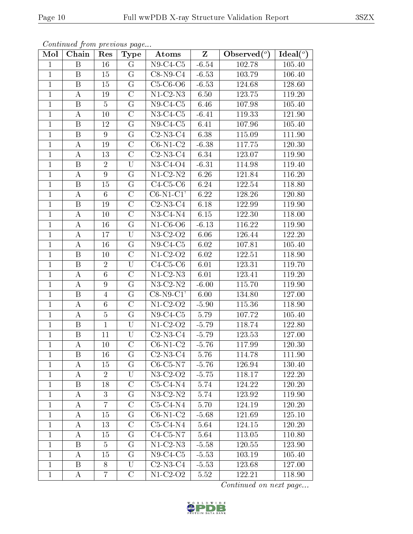| Mol            | Chain                   | Res             | <b>Type</b>             | Atoms                         | $\mathbf{Z}$ | Observed $\overline{(^{\circ})}$ | Ideal $(°)$ |
|----------------|-------------------------|-----------------|-------------------------|-------------------------------|--------------|----------------------------------|-------------|
| $\mathbf{1}$   | $\boldsymbol{B}$        | 16              | $\mathbf G$             | $N9-C4-C5$                    | $-6.54$      | 102.78                           | 105.40      |
| $\mathbf{1}$   | B                       | 15              | G                       | $C8-N9-C4$                    | $-6.53$      | 103.79                           | 106.40      |
| $\mathbf{1}$   | $\overline{\mathrm{B}}$ | 15              | $\overline{G}$          | $C5-C6-O6$                    | $-6.53$      | 124.68                           | 128.60      |
| $\mathbf{1}$   | А                       | 19              | $\mathcal{C}$           | $N1-C2-N3$                    | 6.50         | 123.75                           | 119.20      |
| $\mathbf{1}$   | $\overline{\mathrm{B}}$ | $\overline{5}$  | $\overline{G}$          | $N9-C4-C5$                    | 6.46         | 107.98                           | 105.40      |
| $\mathbf{1}$   | А                       | 10              | $\mathcal{C}$           | $N3-C4-C5$                    | $-6.41$      | 119.33                           | 121.90      |
| $\mathbf{1}$   | B                       | 12              | G                       | $N9-C4-C5$                    | 6.41         | 107.96                           | 105.40      |
| $\mathbf 1$    | $\boldsymbol{B}$        | 9               | G                       | $C2-N3-C4$                    | 6.38         | 115.09                           | 111.90      |
| $\mathbf{1}$   | А                       | 19              | $\mathcal{C}$           | $C6-N1-C2$                    | $-6.38$      | 117.75                           | 120.30      |
| $\mathbf{1}$   | A                       | 13              | $\overline{\rm C}$      | $C2-N3-C4$                    | 6.34         | 123.07                           | 119.90      |
| $\mathbf{1}$   | B                       | $\overline{2}$  | U                       | $N3-C4-O4$                    | $-6.31$      | 114.98                           | 119.40      |
| $\mathbf{1}$   | А                       | $9\phantom{.}$  | $\overline{G}$          | $N1-C2-N2$                    | 6.26         | 121.84                           | 116.20      |
| $\mathbf{1}$   | $\boldsymbol{B}$        | 15              | G                       | $C4-C5-C6$                    | 6.24         | 122.54                           | 118.80      |
| $\mathbf{1}$   | А                       | 6               | $\mathcal{C}$           | $C6-N1-C1'$                   | 6.22         | 128.26                           | 120.80      |
| $\mathbf{1}$   | B                       | 19              | $\overline{\rm C}$      | $C2-N3-C4$                    | 6.18         | 122.99                           | 119.90      |
| $\mathbf{1}$   | A                       | 10              | $\overline{\rm C}$      | $N3-C4-N4$                    | 6.15         | 122.30                           | 118.00      |
| $\mathbf{1}$   | А                       | 16              | G                       | $N1-C6-O6$                    | $-6.13$      | 116.22                           | 119.90      |
| $\mathbf{1}$   | A                       | 17              | U                       | $\overline{\text{N}}$ 3-C2-O2 | 6.06         | 126.44                           | 122.20      |
| $\mathbf{1}$   | A                       | 16              | $\mathcal G$            | $N9-C4-C5$                    | 6.02         | 107.81                           | 105.40      |
| $\mathbf{1}$   | B                       | 10              | $\overline{C}$          | $N1-C2-O2$                    | 6.02         | 122.51                           | 118.90      |
| $\mathbf{1}$   | B                       | $\overline{2}$  | U                       | $C4-C5-C6$                    | 6.01         | 123.31                           | 119.70      |
| $\overline{1}$ | $\boldsymbol{A}$        | $6\phantom{.}6$ | $\overline{\rm C}$      | $N1-C2-N3$                    | 6.01         | 123.41                           | 119.20      |
| $\mathbf{1}$   | $\boldsymbol{A}$        | 9               | G                       | $N3-C2-N2$                    | $-6.00$      | 115.70                           | 119.90      |
| $\mathbf{1}$   | $\overline{\mathrm{B}}$ | $\overline{4}$  | $\overline{G}$          | $\overline{\text{C8-N9-C1}}$  | 6.00         | 134.80                           | 127.00      |
| $\mathbf{1}$   | А                       | $6\phantom{.}6$ | $\mathcal{C}$           | $N1-C2-O2$                    | $-5.90$      | 115.36                           | 118.90      |
| $\mathbf{1}$   | А                       | $\overline{5}$  | G                       | $N9-C4-C5$                    | 5.79         | 107.72                           | 105.40      |
| $\mathbf 1$    | $\, {\bf B}$            | $\mathbf 1$     | $\overline{\mathrm{U}}$ | $N1-C2-O2$                    | $-5.79$      | 118.74                           | 122.80      |
| $\mathbf{1}$   | B                       | 11              | U                       | $C2-N3-C4$                    | $-5.79$      | 123.53                           | 127.00      |
| $\mathbf{1}$   | А                       | 10              | $\overline{\mathrm{C}}$ | $C6-N1-C2$                    | $-5.76$      | 117.99                           | 120.30      |
| 1              | Β                       | 16              | G                       | $C2-N3-C4$                    | 5.76         | 114.78                           | 111.90      |
| $\mathbf{1}$   | A                       | 15              | G                       | $C6-C5-N7$                    | $-5.76$      | 126.94                           | 130.40      |
| $\mathbf{1}$   | A                       | $\overline{2}$  | U                       | $\overline{\text{N3}}$ -C2-O2 | $-5.75$      | 118.17                           | 122.20      |
| $\mathbf 1$    | B                       | 18              | $\mathcal{C}$           | $C5-C4-N4$                    | 5.74         | 124.22                           | 120.20      |
| $\mathbf{1}$   | Α                       | 3               | G                       | $N3$ -C2- $N2$                | 5.74         | 123.92                           | 119.90      |
| $\mathbf{1}$   | A                       | $\overline{7}$  | $\overline{C}$          | $C5-C4-N4$                    | 5.70         | 124.19                           | 120.20      |
| $\mathbf{1}$   | A                       | 15              | $G\$                    | $C6-N1-C2$                    | $-5.68$      | 121.69                           | 125.10      |
| $\mathbf 1$    | A                       | 13              | $\mathcal{C}$           | $C5-C4-N4$                    | 5.64         | 124.15                           | 120.20      |
| $\mathbf{1}$   | A                       | 15              | $\rm G$                 | $C4-C5-N7$                    | 5.64         | 113.05                           | 110.80      |
| $\mathbf{1}$   | B                       | $\overline{5}$  | G                       | $N1-C2-N3$                    | $-5.58$      | 120.55                           | 123.90      |
| $\mathbf{1}$   | A                       | 15              | $\rm G$                 | $N9-C4-C5$                    | $-5.53$      | 103.19                           | 105.40      |
| $\mathbf{1}$   | $\boldsymbol{B}$        | 8               | $\overline{\mathrm{U}}$ | $C2-N3-C4$                    | $-5.53$      | 123.68                           | 127.00      |
| $\mathbf{1}$   | Α                       | 7               | $\mathcal C$            | $N1-C2-O2$                    | 5.52         | 122.21                           | 118.90      |

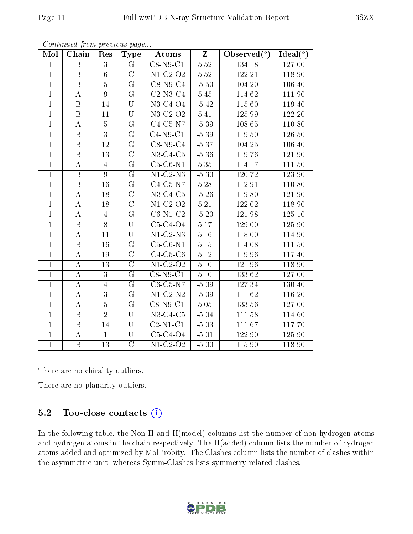| Mol            | Chain                   | Res             | <b>Type</b>             | Atoms                        | $\mathbf{Z}$      | Observed $(°)$ | Ideal $(°)$ |
|----------------|-------------------------|-----------------|-------------------------|------------------------------|-------------------|----------------|-------------|
| $\mathbf{1}$   | B                       | $\overline{3}$  | $\overline{G}$          | $C8-N9-C1'$                  | $\overline{5.52}$ | 134.18         | 127.00      |
| $\overline{1}$ | $\mathbf B$             | $6\phantom{.}$  | $\overline{C}$          | $\overline{\text{N1-C2-O2}}$ | 5.52              | 122.21         | 118.90      |
| $\mathbf{1}$   | $\overline{B}$          | $\overline{5}$  | $\overline{G}$          | $C8-N9-C4$                   | $-5.50$           | 104.20         | 106.40      |
| $\mathbf{1}$   | $\bf{A}$                | $\overline{9}$  | $\overline{G}$          | $\overline{\text{C2-N3-C4}}$ | $\overline{5.45}$ | 114.62         | 111.90      |
| $\mathbf{1}$   | $\mathbf B$             | 14              | $\overline{\mathrm{U}}$ | N3-C4-O4                     | $-5.42$           | 115.60         | 119.40      |
| $\mathbf{1}$   | B                       | 11              | $\mathbf U$             | N3-C2-O2                     | 5.41              | 125.99         | 122.20      |
| $\mathbf{1}$   | $\bf{A}$                | $\overline{5}$  | G                       | $C4-C5-N7$                   | $-5.39$           | 108.65         | 110.80      |
| $\mathbf{1}$   | $\overline{B}$          | $\overline{3}$  | $\overline{G}$          | $C4-N9-C1'$                  | $-5.39$           | 119.50         | 126.50      |
| $\mathbf{1}$   | $\, {\bf B}$            | 12              | G                       | $C8-N9-C4$                   | $-5.37$           | 104.25         | 106.40      |
| $\overline{1}$ | $\overline{\mathrm{B}}$ | $\overline{13}$ | $\overline{C}$          | $N3-C4-C5$                   | $-5.36$           | 119.76         | 121.90      |
| $\overline{1}$ | $\bf{A}$                | $\overline{4}$  | G                       | $C5-C6-N1$                   | 5.35              | 114.17         | 111.50      |
| $\overline{1}$ | $\overline{\mathrm{B}}$ | $\overline{9}$  | $\overline{G}$          | $N1-C2-N3$                   | $-5.30$           | 120.72         | 123.90      |
| $\mathbf{1}$   | B                       | $16\,$          | $G\$                    | $C4-C5-N7$                   | 5.28              | 112.91         | 110.80      |
| $\mathbf{1}$   | $\bf{A}$                | 18              | $\overline{C}$          | $\overline{\text{N3-C4-C5}}$ | $-5.26$           | 119.80         | 121.90      |
| $\overline{1}$ | $\overline{A}$          | 18              | $\overline{C}$          | $N1-C2-O2$                   | 5.21              | 122.02         | 118.90      |
| $\mathbf{1}$   | $\bf{A}$                | $\overline{4}$  | $\overline{G}$          | $C6-N1-C2$                   | $-5.20$           | 121.98         | 125.10      |
| $\overline{1}$ | $\overline{\mathrm{B}}$ | $\overline{8}$  | $\overline{\mathrm{U}}$ | $C5-C4-O4$                   | 5.17              | 129.00         | 125.90      |
| $\overline{1}$ | $\boldsymbol{A}$        | 11              | $\overline{\mathrm{U}}$ | $\overline{\text{N1-C2-N3}}$ | $5.16\,$          | 118.00         | 114.90      |
| $\mathbf{1}$   | $\, {\bf B}$            | 16              | G                       | $C5-C6-N1$                   | $5.15\,$          | 114.08         | 111.50      |
| $\mathbf{1}$   | $\bf{A}$                | 19              | $\overline{C}$          | $C4-C5-C6$                   | 5.12              | 119.96         | 117.40      |
| $\mathbf{1}$   | $\bf{A}$                | 13              | $\rm C$                 | $N1-C2-O2$                   | $5.10\,$          | $121.96\,$     | 118.90      |
| $\mathbf{1}$   | $\bf{A}$                | $\overline{3}$  | G                       | $C8-N9-C1'$                  | $5.10$            | 133.62         | 127.00      |
| $\mathbf{1}$   | $\bf{A}$                | $\overline{4}$  | G                       | $C6-C5-N7$                   | $-5.09$           | 127.34         | 130.40      |
| $\overline{1}$ | $\bf{A}$                | $\overline{3}$  | $\overline{G}$          | $\overline{\text{N1-C2-N2}}$ | $-5.09$           | 111.62         | 116.20      |
| $\overline{1}$ | $\bf{A}$                | $\overline{5}$  | $\overline{G}$          | $\overline{\text{C8-N9-C1}}$ | 5.05              | 133.56         | 127.00      |
| $\mathbf{1}$   | $\mathbf B$             | $\overline{2}$  | $\overline{\mathrm{U}}$ | $N3-C4-C5$                   | $-5.04$           | 111.58         | 114.60      |
| $\mathbf{1}$   | $\, {\bf B}$            | 14              | $\overline{\mathrm{U}}$ | $C2-N1-C1'$                  | $-5.03$           | 111.67         | 117.70      |
| $\mathbf{1}$   | $\boldsymbol{A}$        | $\mathbf{1}$    | $\overline{\mathrm{U}}$ | $C5-C4-O4$                   | $-5.01$           | 122.90         | 125.90      |
| $\mathbf{1}$   | $\, {\bf B}$            | 13              | $\overline{\rm C}$      | $N1-C2-O2$                   | $-5.00$           | 115.90         | 118.90      |

There are no chirality outliers.

There are no planarity outliers.

### 5.2 Too-close contacts (i)

In the following table, the Non-H and H(model) columns list the number of non-hydrogen atoms and hydrogen atoms in the chain respectively. The H(added) column lists the number of hydrogen atoms added and optimized by MolProbity. The Clashes column lists the number of clashes within the asymmetric unit, whereas Symm-Clashes lists symmetry related clashes.

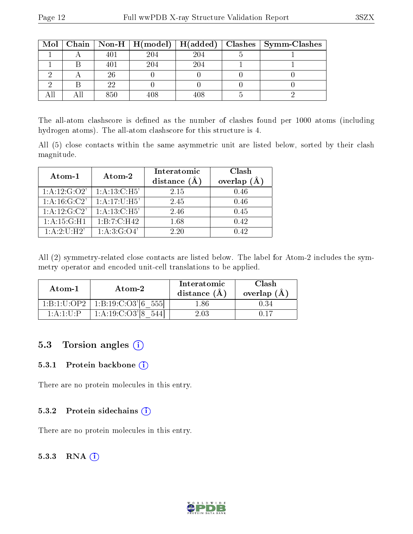|  |     |     |     | Mol   Chain   Non-H   H(model)   H(added)   Clashes   Symm-Clashes |
|--|-----|-----|-----|--------------------------------------------------------------------|
|  | 401 | 204 | 204 |                                                                    |
|  | 401 | 204 | 204 |                                                                    |
|  | 26  |     |     |                                                                    |
|  | າາ  |     |     |                                                                    |
|  | 850 | 108 | 408 |                                                                    |

The all-atom clashscore is defined as the number of clashes found per 1000 atoms (including hydrogen atoms). The all-atom clashscore for this structure is 4.

All (5) close contacts within the same asymmetric unit are listed below, sorted by their clash magnitude.

| Atom-1           | Atom-2           | Interatomic<br>distance $(\AA)$ | Clash<br>overlap<br>(A) |  |
|------------------|------------------|---------------------------------|-------------------------|--|
| 1:A:12:G:O2'     | 1: A: 13: C: H5' | 2.15                            | 0.46                    |  |
| 1: A: 16: G: C2' | 1:A:17:U:H5'     | 2.45                            | 0.46                    |  |
| 1:A:12:G:C2'     | 1:A:13:C:H5'     | 2.46                            | 0.45                    |  |
| 1: A: 15: G:H1   | 1:B:7:C:H42      | 1.68                            | 0.42                    |  |
| 1:A:2:U:H2'      | 1: A:3: G:O4'    | 2.20                            | 0.42                    |  |

All (2) symmetry-related close contacts are listed below. The label for Atom-2 includes the symmetry operator and encoded unit-cell translations to be applied.

| Atom-1      | Atom-2             | Interatomic<br>distance (A | Clash<br>overlap (Å |  |
|-------------|--------------------|----------------------------|---------------------|--|
| 1:B:1:U:OP2 | 1: B: 19: C: O3' 6 | ' .86                      |                     |  |
| 1:A:1:U:P   | $1: A:19:C:O3'$ [8 | 2.03                       |                     |  |

#### 5.3 Torsion angles (i)

#### 5.3.1 Protein backbone (i)

There are no protein molecules in this entry.

#### 5.3.2 Protein sidechains  $\overline{1}$

There are no protein molecules in this entry.

#### 5.3.3 RNA [O](https://www.wwpdb.org/validation/2017/XrayValidationReportHelp#rna)i

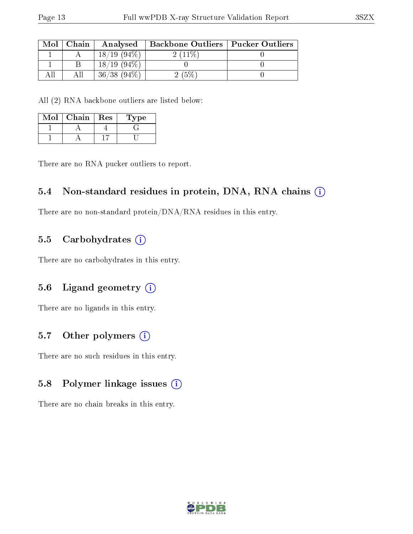| Mol | Chain | Analysed         | <b>Backbone Outliers   Pucker Outliers</b> |  |
|-----|-------|------------------|--------------------------------------------|--|
|     |       | $18/19(94\%)$    | $2(11\%)$                                  |  |
|     |       | $18/19(94\%)$    |                                            |  |
|     |       | $36/38$ $(94\%)$ | 2(5%)                                      |  |

All (2) RNA backbone outliers are listed below:

| Mol | Chain | $\operatorname{Res}$ | L'ype |
|-----|-------|----------------------|-------|
|     |       |                      |       |
|     |       |                      |       |

There are no RNA pucker outliers to report.

#### 5.4 Non-standard residues in protein, DNA, RNA chains (i)

There are no non-standard protein/DNA/RNA residues in this entry.

#### 5.5 Carbohydrates (i)

There are no carbohydrates in this entry.

#### 5.6 Ligand geometry (i)

There are no ligands in this entry.

#### 5.7 [O](https://www.wwpdb.org/validation/2017/XrayValidationReportHelp#nonstandard_residues_and_ligands)ther polymers  $(i)$

There are no such residues in this entry.

#### 5.8 Polymer linkage issues (i)

There are no chain breaks in this entry.